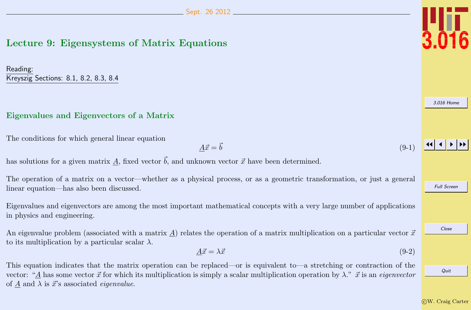# <span id="page-0-0"></span>Lecture 9: Eigensystems of Matrix Equations

Reading: Kreyszig Sections: 8.1, 8.2, 8.3, 8.4

### Eigenvalues and Eigenvectors of a Matrix

The conditions for which general linear equation

$$
\underline{A}\vec{x} = \vec{b} \tag{9-1}
$$

has solutions for a given matrix A, fixed vector  $\vec{b}$ , and unknown vector  $\vec{x}$  have been determined.

The operation of a matrix on a vector—whether as a physical process, or as a geometric transformation, or just a general linear equation—has also been discussed.

Eigenvalues and eigenvectors are among the most important mathematical concepts with a very large number of applications in physics and engineering.

An eigenvalue problem (associated with a matrix A) relates the operation of a matrix multiplication on a particular vector  $\vec{x}$ to its multiplication by a particular scalar  $\lambda$ .

$$
\underline{A}\vec{x} = \lambda \vec{x} \tag{9-2}
$$

This equation indicates that the matrix operation can be replaced—or is equivalent to—a stretching or contraction of the vector: "A has some vector  $\vec{x}$  for which its multiplication is simply a scalar multiplication operation by  $\lambda$ ."  $\vec{x}$  is an *eigenvector* of A and  $\lambda$  is  $\vec{x}$ 's associated *eigenvalue*.



JJ J I II

Full Screen

Close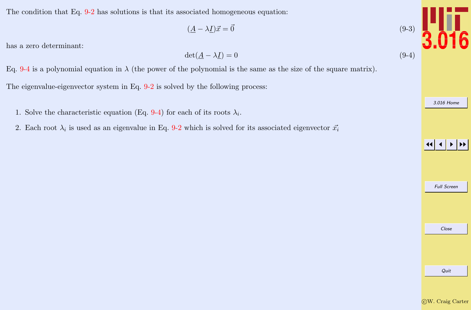<span id="page-1-0"></span>The condition that Eq. [9-2](#page-0-0) has solutions is that its associated homogeneous equation:

$$
(\underline{A} - \lambda \underline{I})\vec{x} = \vec{0} \tag{9-3}
$$

has a zero determinant:

$$
\det(\underline{A} - \lambda \underline{I}) = 0 \tag{9-4}
$$

Eq. 9-4 is a polynomial equation in  $\lambda$  (the power of the polynomial is the same as the size of the square matrix).

The eigenvalue-eigenvector system in Eq. [9-2](#page-0-0) is solved by the following process:

- 1. Solve the characteristic equation (Eq. 9-4) for each of its roots  $\lambda_i$ .
- 2. Each root  $\lambda_i$  is used as an eigenvalue in Eq. [9-2](#page-0-0) which is solved for its associated eigenvector  $\vec{x_i}$



Full Screen

Close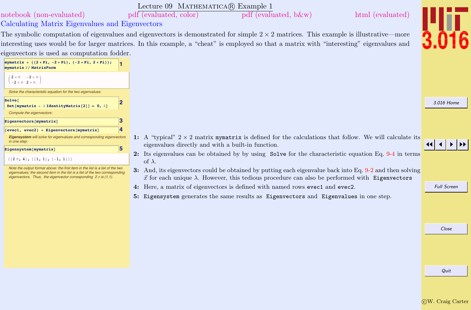<span id="page-2-0"></span>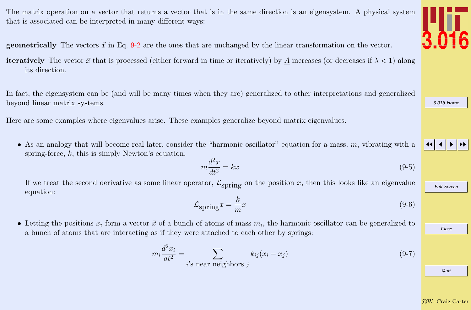<span id="page-3-0"></span>The matrix operation on a vector that returns a vector that is in the same direction is an eigensystem. A physical system that is associated can be interpreted in many different ways:

**geometrically** The vectors  $\vec{x}$  in Eq. [9-2](#page-0-0) are the ones that are unchanged by the linear transformation on the vector.

**iteratively** The vector  $\vec{x}$  that is processed (either forward in time or iteratively) by A increases (or decreases if  $\lambda < 1$ ) along its direction.

In fact, the eigensystem can be (and will be many times when they are) generalized to other interpretations and generalized beyond linear matrix systems.

Here are some examples where eigenvalues arise. These examples generalize beyond matrix eigenvalues.

• As an analogy that will become real later, consider the "harmonic oscillator" equation for a mass,  $m$ , vibrating with a spring-force,  $k$ , this is simply Newton's equation:

$$
m\frac{d^2x}{dt^2} = kx\tag{9-5}
$$

If we treat the second derivative as some linear operator,  $\mathcal{L}_{\text{spring}}$  on the position x, then this looks like an eigenvalue equation:

$$
\mathcal{L}_{\text{spring}} x = \frac{k}{m} x \tag{9-6}
$$

• Letting the positions  $x_i$  form a vector  $\vec{x}$  of a bunch of atoms of mass  $m_i$ , the harmonic oscillator can be generalized to a bunch of atoms that are interacting as if they were attached to each other by springs:

$$
m_i \frac{d^2 x_i}{dt^2} = \sum_{i \text{'s near neighbors } j} k_{ij} (x_i - x_j) \tag{9-7}
$$



[3.016 Home](http://pruffle.mit.edu/3.016-2012/)



Full Screen

Close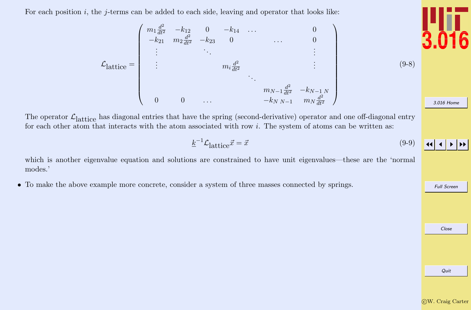<span id="page-4-0"></span>For each position  $i$ , the j-terms can be added to each side, leaving and operator that looks like:

$$
\mathcal{L}_{\text{lattice}} = \begin{pmatrix} m_1 \frac{d^2}{dt^2} & -k_{12} & 0 & -k_{14} & \dots & 0 \\ -k_{21} & m_2 \frac{d^2}{dt^2} & -k_{23} & 0 & \dots & 0 \\ \vdots & \vdots & \ddots & \vdots & \vdots \\ \vdots & \vdots & \ddots & \vdots \\ \vdots & \vdots & \ddots & \vdots \\ 0 & 0 & \dots & \frac{d^2}{dt^2} & -k_{N-1}N \\ 0 & 0 & \dots & -k_{N}N-1 & m_N \frac{d^2}{dt^2} \end{pmatrix}
$$
 (9-8)

The operator  $\mathcal{L}_{\text{lattice}}$  has diagonal entries that have the spring (second-derivative) operator and one off-diagonal entry for each other atom that interacts with the atom associated with row  $i$ . The system of atoms can be written as:

$$
\underline{k}^{-1}\mathcal{L}_{\text{lattice}}\vec{x} = \vec{x} \tag{9-9}
$$

which is another eigenvalue equation and solutions are constrained to have unit eigenvalues—these are the 'normal modes.'

• To make the above example more concrete, consider a system of three masses connected by springs.



Quit



[3.016 Home](http://pruffle.mit.edu/3.016-2012/)

JJ J I II

Full Screen

Close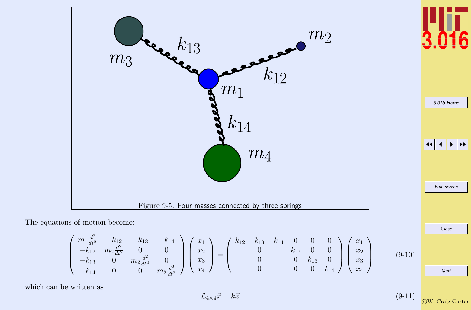<span id="page-5-0"></span>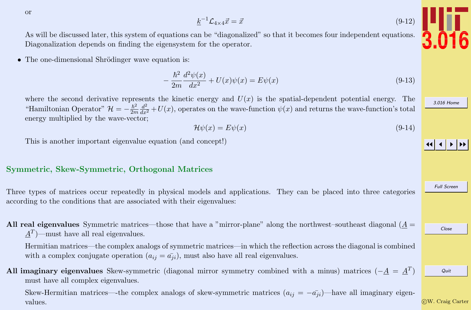<span id="page-6-0"></span>or

 $\underline{k}^{-1}\mathcal{L}_{4\times 4}\vec{x} = \vec{x}$  (9-12)

As will be discussed later, this system of equations can be "diagonalized" so that it becomes four independent equations. Diagonalization depends on finding the eigensystem for the operator.

• The one-dimensional Shrödinger wave equation is:

$$
-\frac{\hbar^2}{2m}\frac{d^2\psi(x)}{dx^2} + U(x)\psi(x) = E\psi(x)
$$
\n(9-13)

where the second derivative represents the kinetic energy and  $U(x)$  is the spatial-dependent potential energy. The "Hamiltonian Operator"  $\mathcal{H} = -\frac{\hbar^2}{2m}$  $\overline{2m}$  $\frac{d^2}{dx^2} + U(x)$ , operates on the wave-function  $\psi(x)$  and returns the wave-function's total energy multiplied by the wave-vector;

$$
\mathcal{H}\psi(x) = E\psi(x) \tag{9-14}
$$

This is another important eigenvalue equation (and concept!)

### Symmetric, Skew-Symmetric, Orthogonal Matrices

Three types of matrices occur repeatedly in physical models and applications. They can be placed into three categories according to the conditions that are associated with their eigenvalues:

All real eigenvalues Symmetric matrices—those that have a "mirror-plane" along the northwest–southeast diagonal  $(A =$  $\underline{A}^T$  – must have all real eigenvalues.

Hermitian matrices—the complex analogs of symmetric matrices—in which the reflection across the diagonal is combined with a complex conjugate operation  $(a_{ij} = \overline{a_{ji}})$ , must also have all real eigenvalues.

All imaginary eigenvalues Skew-symmetric (diagonal mirror symmetry combined with a minus) matrices ( $-\underline{A} = \underline{A}^T$ ) must have all complex eigenvalues.

Skew-Hermitian matrices—the complex analogs of skew-symmetric matrices  $(a_{ij} = -a_{ji})$ —have all imaginary eigenvalues.

Quit



[3.016 Home](http://pruffle.mit.edu/3.016-2012/)

JJ J I II

Full Screen

Close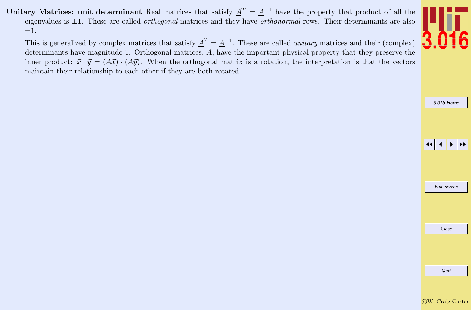<span id="page-7-0"></span>Unitary Matrices: unit determinant Real matrices that satisfy  $\underline{A}^T = \underline{A}^{-1}$  have the property that product of all the eigenvalues is  $\pm 1$ . These are called *orthogonal* matrices and they have *orthonormal* rows. Their determinants are also  $\pm 1.$ 

This is generalized by complex matrices that satisfy  $\overline{A}^T = \underline{A}^{-1}$ . These are called *unitary* matrices and their (complex) determinants have magnitude 1. Orthogonal matrices, A, have the important physical property that they preserve the inner product:  $\vec{x} \cdot \vec{y} = (A\vec{x}) \cdot (A\vec{y})$ . When the orthogonal matrix is a rotation, the interpretation is that the vectors maintain their relationship to each other if they are both rotated.



[3.016 Home](http://pruffle.mit.edu/3.016-2012/)

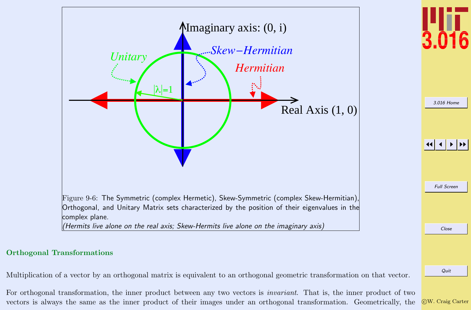<span id="page-8-0"></span>

c W. Craig Carter

Multiplication of a vector by an orthogonal matrix is equivalent to an orthogonal geometric transformation on that vector.

For orthogonal transformation, the inner product between any two vectors is invariant. That is, the inner product of two vectors is always the same as the inner product of their images under an orthogonal transformation. Geometrically, the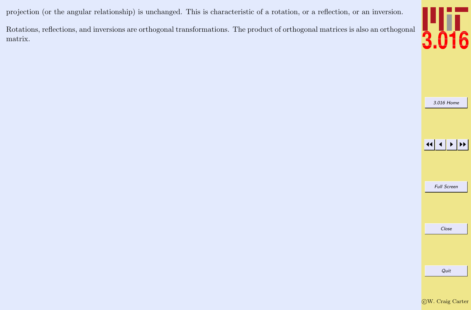<span id="page-9-0"></span>projection (or the angular relationship) is unchanged. This is characteristic of a rotation, or a reflection, or an inversion.

Rotations, reflections, and inversions are orthogonal transformations. The product of orthogonal matrices is also an orthogonal matrix.



[3.016 Home](http://pruffle.mit.edu/3.016-2012/)

 $\left| \left| \left| \left| \left| \right| \right| \right| \right|$  in  $\left| \left| \right| \right|$ 

Full Screen

Close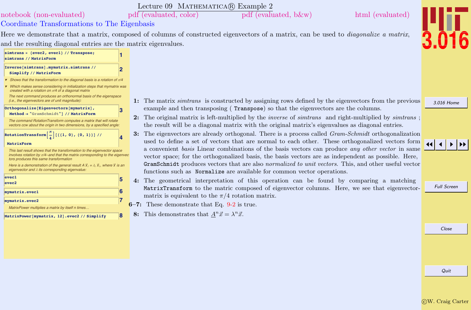### Lecture 09 MATHEMATICA(R) Example 2

<span id="page-10-0"></span>[notebook \(non-evaluated\)](http://pruffle.mit.edu/3.016-2012/Notebooks/L09/Lecture-09.nb) [pdf \(evaluated, color\)](http://pruffle.mit.edu/3.016-2012/pdf/L09/Lecture-09-2-COL.pdf) [pdf \(evaluated, b&w\)](http://pruffle.mit.edu/3.016-2012/pdf/L09/Lecture-09-2-BW.pdf) [html \(evaluated\)](http://pruffle.mit.edu/3.016-2012/html/Lecture-09/HTMLLinks/index_2.html)

## Coordinate Transformations to The Eigenbasis

Here we demonstrate that a matrix, composed of columns of constructed eigenvectors of a matrix, can be used to *diagonalize a matrix*, and the resulting diagonal entries are the matrix eigenvalues.



created with a rotation on  $\pi/4$  of a diagonal matrix The next command produces an orthonormal basis of the eigenspace

(i.e., the eigenvectors are of unit magnitude):

**3 C** 

**Method <sup>Ø</sup> "GramSchmidt"<sup>D</sup> êê MatrixForm**

The command RotationTransform computes a matrix that will rotate vectors ccw about the origin in two dimensions, by a specified angle:

**f**<br>*RotationTransform* $\left[\frac{1}{4}\right]$  [{{1, 0}, {0, 1}}] // **p 4**

### **MatrixForm**

This last result shows that the transformation to the eigenvector space involves rotation by  $\pi$ /4--and that the matrix corresponding to the eigenvectors produces this same transformation

Here is a demonstration of the general result  $A \vec{x}_i = \lambda_i \vec{x}_i$ , where  $\vec{x}$  is an eigenvector and  $\lambda$  its corresponding eigenvalue:

| $e$ vec $1$<br>evec <sub>2</sub>                  | 5 |
|---------------------------------------------------|---|
| mymatrix.evec1                                    | 6 |
| mymatrix.evec2                                    |   |
| MatrixPower multiplies a matrix by itself n times |   |
| MatrixPower[mvmatrix, 12].evec2 // Simplify       |   |

1: The matrix simtrans is constructed by assigning rows defined by the eigenvectors from the previous example and then transposing ( Transpose) so that the eigenvectors are the columns.

- 2: The original matrix is left-multiplied by the *inverse* of *simitans* and right-multiplied by *simitans* ; the result will be a diagonal matrix with the original matrix's eigenvalues as diagonal entries.
- 3: The eigenvectors are already orthogonal. There is a process called *Gram-Schmidt* orthogonalization used to define a set of vectors that are normal to each other. These orthogonalized vectors form a convenient basis Linear combinations of the basis vectors can produce any other vector in same vector space; for the orthogonalized basis, the basis vectors are as independent as possible. Here, GramSchmidt produces vectors that are also normalized to unit vectors. This, and other useful vector functions such as Normalize are available for common vector operations.
- 4: The geometrical interpretation of this operation can be found by comparing a matching MatrixTransform to the matric composed of eigenvector columns. Here, we see that eigenvectormatrix is equivalent to the  $\pi/4$  rotation matrix.
- 6–7: These demonstrate that Eq. [9-2](#page-0-0) is true.
	- **8:** This demonstrates that  $\underline{A}^n \vec{x} = \lambda^n \vec{x}$ .

# JJ J I II

[3.016 Home](http://pruffle.mit.edu/3.016-2012/)

Full Screen

Close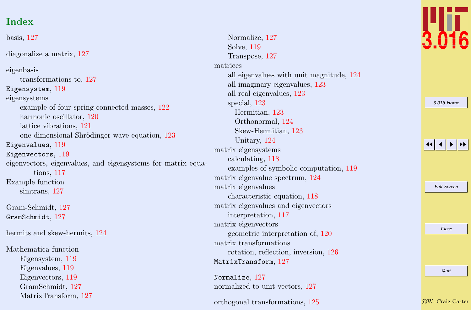# Index

basis, [127](#page-10-0) diagonalize a matrix, [127](#page-10-0) eigenbasis transformations to, [127](#page-10-0) Eigensystem, [119](#page-2-0) eigensystems example of four spring-connected masses, [122](#page-5-0) harmonic oscillator, [120](#page-3-0) lattice vibrations, [121](#page-4-0) one-dimensional Shrödinger wave equation, [123](#page-6-0) Eigenvalues, [119](#page-2-0) Eigenvectors, [119](#page-2-0) eigenvectors, eigenvalues, and eigensystems for matrix equations, [117](#page-0-0) Example function simtrans, [127](#page-10-0) Gram-Schmidt, [127](#page-10-0) GramSchmidt, [127](#page-10-0) hermits and skew-hermits, [124](#page-7-0) Mathematica function Eigensystem, [119](#page-2-0) Eigenvalues, [119](#page-2-0) Eigenvectors, [119](#page-2-0) GramSchmidt, [127](#page-10-0) MatrixTransform, [127](#page-10-0)

Normalize, [127](#page-10-0) Solve, [119](#page-2-0) Transpose, [127](#page-10-0) matrices all eigenvalues with unit magnitude, [124](#page-7-0) all imaginary eigenvalues, [123](#page-6-0) all real eigenvalues, [123](#page-6-0) special, [123](#page-6-0) Hermitian, [123](#page-6-0) Orthonormal, [124](#page-7-0) Skew-Hermitian, [123](#page-6-0) Unitary, [124](#page-7-0) matrix eigensystems calculating, [118](#page-1-0) examples of symbolic computation, [119](#page-2-0) matrix eigenvalue spectrum, [124](#page-7-0) matrix eigenvalues characteristic equation, [118](#page-1-0) matrix eigenvalues and eigenvectors interpretation, [117](#page-0-0) matrix eigenvectors geometric interpretation of, [120](#page-3-0) matrix transformations rotation, reflection, inversion, [126](#page-9-0) MatrixTransform, [127](#page-10-0) Normalize, [127](#page-10-0) normalized to unit vectors, [127](#page-10-0)

orthogonal transformations, [125](#page-8-0)



| 3.016 Home         |
|--------------------|
|                    |
|                    |
|                    |
| 11                 |
|                    |
|                    |
|                    |
| <b>Full Screen</b> |
|                    |
|                    |
|                    |
| Close              |
|                    |
|                    |
|                    |
| Quit               |
|                    |